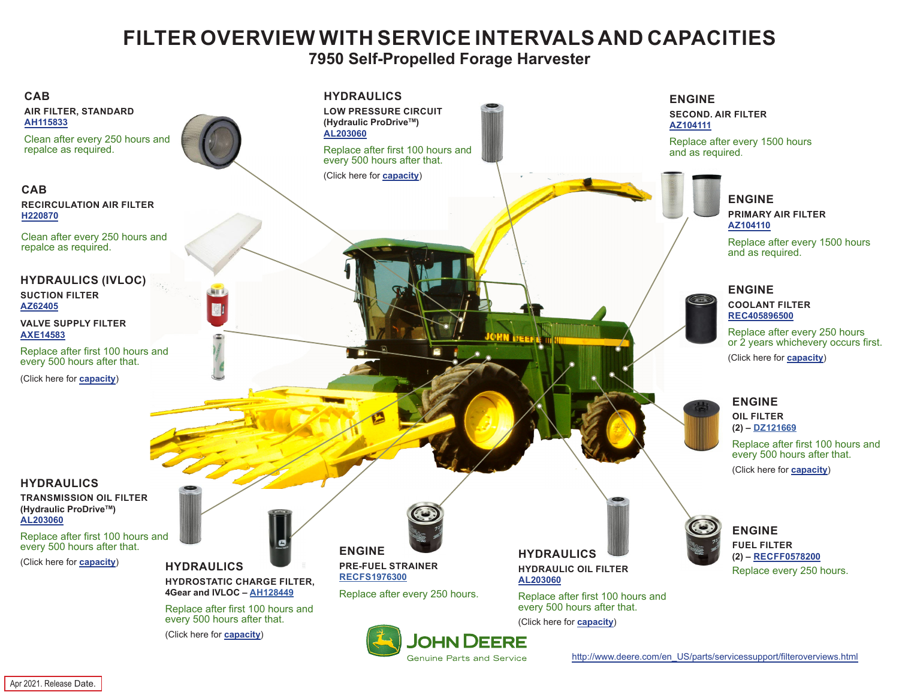## **FILTER OVERVIEW WITH SERVICE INTERVALS AND CAPACITIES**

**7950 Self-Propelled Forage Harvester**

<span id="page-0-0"></span>

Genuine Parts and Service

[http://www.deere.com/en\\_US/parts/servicessupport/filteroverviews.html](http://www.deere.com/en_US/parts/servicessupport/filteroverviews.html)